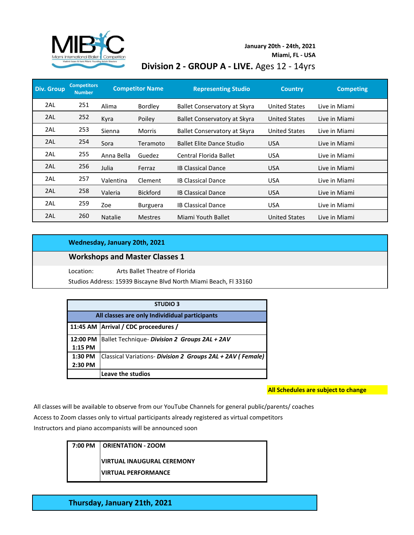

### **January 20th - 24th, 2021**

**Miami, FL - USA**

# **Division 2 - GROUP A - LIVE.** Ages 12 - 14yrs

| <b>Div. Group</b> | <b>Competitors</b><br><b>Number</b> |                | <b>Competitor Name</b> | <b>Representing Studio</b>          | <b>Country</b>       | <b>Competing</b> |
|-------------------|-------------------------------------|----------------|------------------------|-------------------------------------|----------------------|------------------|
| 2AL               | 251                                 | Alima          | Bordley                | <b>Ballet Conservatory at Skyra</b> | <b>United States</b> | Live in Miami    |
| 2AL               | 252                                 | Kyra           | Poiley                 | Ballet Conservatory at Skyra        | <b>United States</b> | Live in Miami    |
| 2AL               | 253                                 | Sienna         | <b>Morris</b>          | Ballet Conservatory at Skyra        | <b>United States</b> | Live in Miami    |
| 2AL               | 254                                 | Sora           | Teramoto               | <b>Ballet Elite Dance Studio</b>    | <b>USA</b>           | Live in Miami    |
| 2AL               | 255                                 | Anna Bella     | Guedez                 | Central Florida Ballet              | <b>USA</b>           | Live in Miami    |
| 2AL               | 256                                 | Julia          | Ferraz                 | <b>IB Classical Dance</b>           | <b>USA</b>           | Live in Miami    |
| 2AL               | 257                                 | Valentina      | Clement                | <b>IB Classical Dance</b>           | <b>USA</b>           | Live in Miami    |
| 2AL               | 258                                 | Valeria        | <b>Bickford</b>        | <b>IB Classical Dance</b>           | <b>USA</b>           | Live in Miami    |
| 2AL               | 259                                 | Zoe            | <b>Burguera</b>        | <b>IB Classical Dance</b>           | <b>USA</b>           | Live in Miami    |
| 2AL               | 260                                 | <b>Natalie</b> | <b>Mestres</b>         | Miami Youth Ballet                  | <b>United States</b> | Live in Miami    |

#### **Wednesday, January 20th, 2021**

### **Workshops and Master Classes 1**

Location: Arts Ballet Theatre of Florida

Studios Address: 15939 Biscayne Blvd North Miami Beach, Fl 33160

| <b>STUDIO 3</b>                                |                                                            |  |
|------------------------------------------------|------------------------------------------------------------|--|
| All classes are only Individidual participants |                                                            |  |
|                                                | 11:45 AM   Arrival / CDC proceedures /                     |  |
| 12:00 PM                                       | Ballet Technique- Division 2 Groups 2AL + 2AV              |  |
| 1:15 PM                                        |                                                            |  |
| 1:30 PM                                        | Classical Variations- Division 2 Groups 2AL + 2AV (Female) |  |
| 2:30 PM                                        |                                                            |  |
|                                                | Leave the studios                                          |  |

#### **All Schedules are subject to change**

All classes will be available to observe from our YouTube Channels for general public/parents/ coaches

Access to Zoom classes only to virtual participants already registered as virtual competitors

Instructors and piano accompanists will be announced soon

| 7:00 PM   ORIENTATION - ZOOM      |
|-----------------------------------|
| <b>VIRTUAL INAUGURAL CEREMONY</b> |
| <b>VIRTUAL PERFORMANCE</b>        |

**Thursday, January 21th, 2021**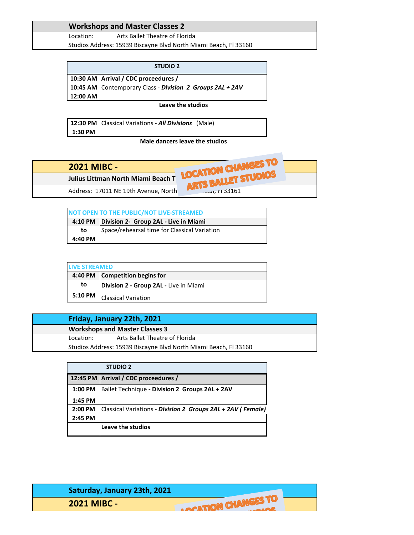## **Workshops and Master Classes 2**

Location: Arts Ballet Theatre of Florida Studios Address: 15939 Biscayne Blvd North Miami Beach, Fl 33160

|          | <b>STUDIO 2</b>                                           |
|----------|-----------------------------------------------------------|
|          | 10:30 AM Arrival / CDC proceedures /                      |
|          | 10:45 AM Contemporary Class - Division 2 Groups 2AL + 2AV |
| 12:00 AM |                                                           |

**Leave the studios**

**12:30 PM** Classical Variations - *All Divisions* (Male) **1:30 PM**

**Male dancers leave the studios**



|         | NOT OPEN TO THE PUBLIC/NOT LIVE-STREAMED        |
|---------|-------------------------------------------------|
|         | 4:10 PM   Division 2- Group 2AL - Live in Miami |
| to      | Space/rehearsal time for Classical Variation    |
| 4:40 PM |                                                 |

| <b>LIVE STREAMED</b> |                                        |  |
|----------------------|----------------------------------------|--|
|                      | 4:40 PM Competition begins for         |  |
| to                   | Division 2 - Group 2AL - Live in Miami |  |
| 5:10 PM              | <b>Classical Variation</b>             |  |

### **Friday, January 22th, 2021**

| <b>Workshops and Master Classes 3</b> |                                                                  |  |  |
|---------------------------------------|------------------------------------------------------------------|--|--|
| Location:                             | Arts Ballet Theatre of Florida                                   |  |  |
|                                       | Studios Address: 15939 Biscayne Blvd North Miami Beach, FI 33160 |  |  |

|           | <b>STUDIO 2</b>                                             |
|-----------|-------------------------------------------------------------|
|           | 12:45 PM Arrival / CDC proceedures /                        |
| $1:00$ PM | Ballet Technique - Division 2 Groups 2AL + 2AV              |
| 1:45 PM   |                                                             |
| 2:00 PM   | Classical Variations - Division 2 Groups 2AL + 2AV (Female) |
| 2:45 PM   |                                                             |
|           | Leave the studios                                           |